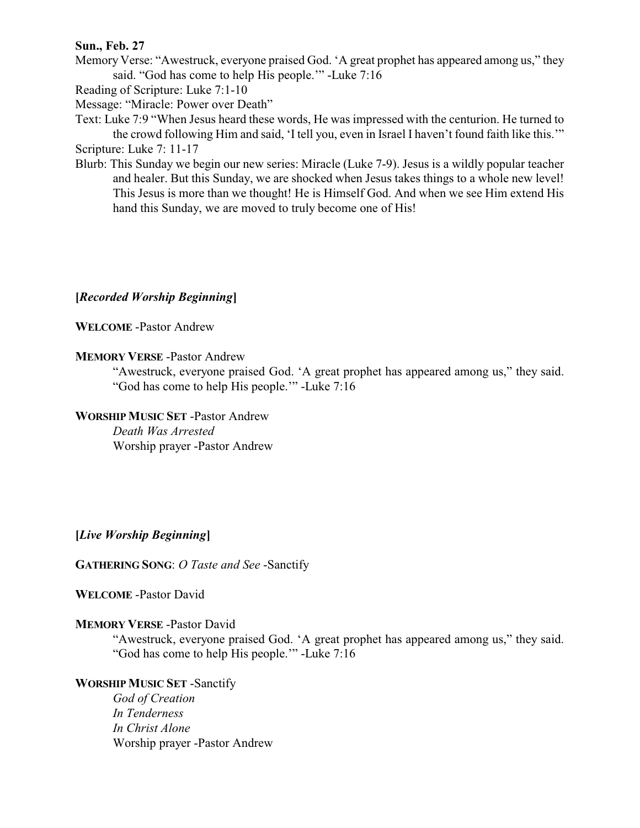## **Sun., Feb. 27**

Memory Verse: "Awestruck, everyone praised God. 'A great prophet has appeared among us," they said. "God has come to help His people.'" -Luke 7:16

Reading of Scripture: Luke 7:1-10

Message: "Miracle: Power over Death"

Text: Luke 7:9 "When Jesus heard these words, He was impressed with the centurion. He turned to the crowd following Him and said, 'I tell you, even in Israel I haven't found faith like this.'" Scripture: Luke 7: 11-17

Blurb: This Sunday we begin our new series: Miracle (Luke 7-9). Jesus is a wildly popular teacher and healer. But this Sunday, we are shocked when Jesus takes things to a whole new level! This Jesus is more than we thought! He is Himself God. And when we see Him extend His hand this Sunday, we are moved to truly become one of His!

# **[***Recorded Worship Beginning***]**

**WELCOME** -Pastor Andrew

## **MEMORY VERSE** -Pastor Andrew

"Awestruck, everyone praised God. 'A great prophet has appeared among us," they said. "God has come to help His people.'" -Luke 7:16

# **WORSHIP MUSIC SET** -Pastor Andrew

*Death Was Arrested* Worship prayer -Pastor Andrew

## **[***Live Worship Beginning***]**

**GATHERING SONG**: *O Taste and See* -Sanctify

## **WELCOME** -Pastor David

## **MEMORY VERSE** -Pastor David

"Awestruck, everyone praised God. 'A great prophet has appeared among us," they said. "God has come to help His people.'" -Luke 7:16

## **WORSHIP MUSIC SET** -Sanctify

*God of Creation In Tenderness In Christ Alone* Worship prayer -Pastor Andrew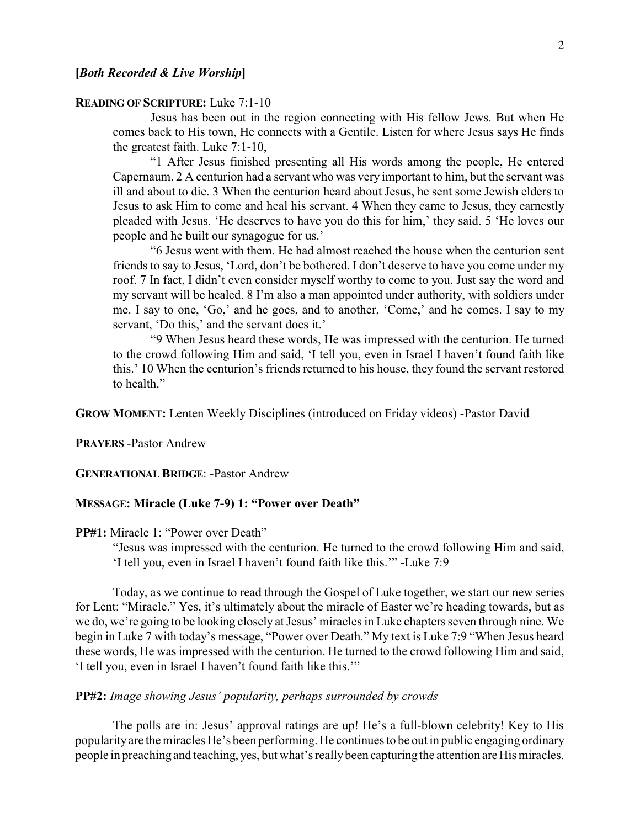#### **READING OF SCRIPTURE:** Luke 7:1-10

Jesus has been out in the region connecting with His fellow Jews. But when He comes back to His town, He connects with a Gentile. Listen for where Jesus says He finds the greatest faith. Luke 7:1-10,

"1 After Jesus finished presenting all His words among the people, He entered Capernaum. 2 A centurion had a servant who was very important to him, but the servant was ill and about to die. 3 When the centurion heard about Jesus, he sent some Jewish elders to Jesus to ask Him to come and heal his servant. 4 When they came to Jesus, they earnestly pleaded with Jesus. 'He deserves to have you do this for him,' they said. 5 'He loves our people and he built our synagogue for us.'

"6 Jesus went with them. He had almost reached the house when the centurion sent friends to say to Jesus, 'Lord, don't be bothered. I don't deserve to have you come under my roof. 7 In fact, I didn't even consider myself worthy to come to you. Just say the word and my servant will be healed. 8 I'm also a man appointed under authority, with soldiers under me. I say to one, 'Go,' and he goes, and to another, 'Come,' and he comes. I say to my servant, 'Do this,' and the servant does it.'

"9 When Jesus heard these words, He was impressed with the centurion. He turned to the crowd following Him and said, 'I tell you, even in Israel I haven't found faith like this.' 10 When the centurion's friends returned to his house, they found the servant restored to health."

**GROW MOMENT:** Lenten Weekly Disciplines (introduced on Friday videos) -Pastor David

**PRAYERS** -Pastor Andrew

**GENERATIONAL BRIDGE**: -Pastor Andrew

### **MESSAGE: Miracle (Luke 7-9) 1: "Power over Death"**

**PP#1:** Miracle 1: "Power over Death"

"Jesus was impressed with the centurion. He turned to the crowd following Him and said, 'I tell you, even in Israel I haven't found faith like this.'" -Luke 7:9

Today, as we continue to read through the Gospel of Luke together, we start our new series for Lent: "Miracle." Yes, it's ultimately about the miracle of Easter we're heading towards, but as we do, we're going to be looking closely at Jesus' miracles in Luke chapters seven through nine. We begin in Luke 7 with today's message, "Power over Death." My text is Luke 7:9 "When Jesus heard these words, He was impressed with the centurion. He turned to the crowd following Him and said, 'I tell you, even in Israel I haven't found faith like this.'"

## **PP#2:** *Image showing Jesus' popularity, perhaps surrounded by crowds*

The polls are in: Jesus' approval ratings are up! He's a full-blown celebrity! Key to His popularity are the miracles He's been performing. He continues to be out in public engaging ordinary people in preaching and teaching, yes, but what's reallybeen capturing the attention are His miracles.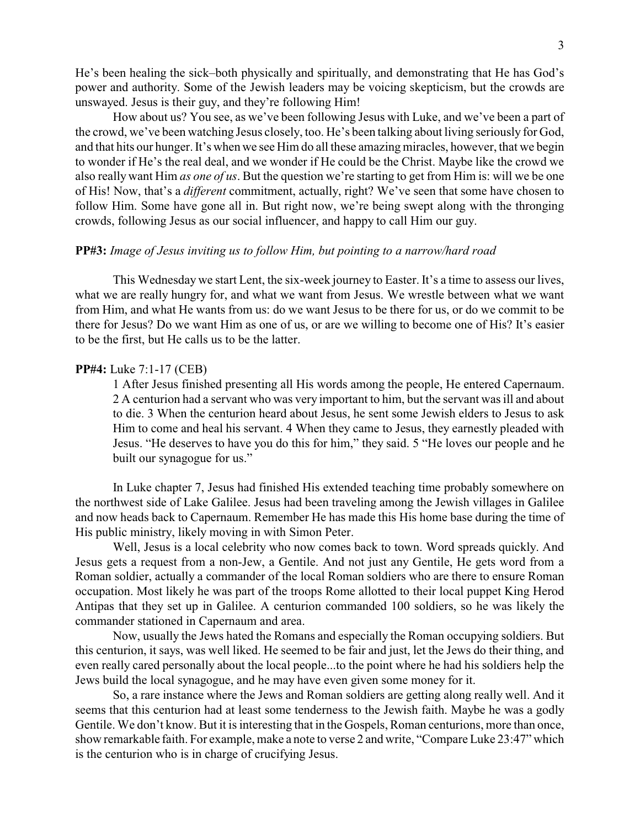He's been healing the sick–both physically and spiritually, and demonstrating that He has God's power and authority. Some of the Jewish leaders may be voicing skepticism, but the crowds are unswayed. Jesus is their guy, and they're following Him!

How about us? You see, as we've been following Jesus with Luke, and we've been a part of the crowd, we've been watching Jesus closely, too. He's been talking about living seriously for God, and that hits our hunger. It's when we see Him do all these amazing miracles, however, that we begin to wonder if He's the real deal, and we wonder if He could be the Christ. Maybe like the crowd we also really want Him *as one of us*. But the question we're starting to get from Him is: will we be one of His! Now, that's a *different* commitment, actually, right? We've seen that some have chosen to follow Him. Some have gone all in. But right now, we're being swept along with the thronging crowds, following Jesus as our social influencer, and happy to call Him our guy.

#### **PP#3:** *Image of Jesus inviting us to follow Him, but pointing to a narrow/hard road*

This Wednesday we start Lent, the six-week journey to Easter. It's a time to assess our lives, what we are really hungry for, and what we want from Jesus. We wrestle between what we want from Him, and what He wants from us: do we want Jesus to be there for us, or do we commit to be there for Jesus? Do we want Him as one of us, or are we willing to become one of His? It's easier to be the first, but He calls us to be the latter.

#### **PP#4:** Luke 7:1-17 (CEB)

1 After Jesus finished presenting all His words among the people, He entered Capernaum. 2 A centurion had a servant who was very important to him, but the servant was ill and about to die. 3 When the centurion heard about Jesus, he sent some Jewish elders to Jesus to ask Him to come and heal his servant. 4 When they came to Jesus, they earnestly pleaded with Jesus. "He deserves to have you do this for him," they said. 5 "He loves our people and he built our synagogue for us."

In Luke chapter 7, Jesus had finished His extended teaching time probably somewhere on the northwest side of Lake Galilee. Jesus had been traveling among the Jewish villages in Galilee and now heads back to Capernaum. Remember He has made this His home base during the time of His public ministry, likely moving in with Simon Peter.

Well, Jesus is a local celebrity who now comes back to town. Word spreads quickly. And Jesus gets a request from a non-Jew, a Gentile. And not just any Gentile, He gets word from a Roman soldier, actually a commander of the local Roman soldiers who are there to ensure Roman occupation. Most likely he was part of the troops Rome allotted to their local puppet King Herod Antipas that they set up in Galilee. A centurion commanded 100 soldiers, so he was likely the commander stationed in Capernaum and area.

Now, usually the Jews hated the Romans and especially the Roman occupying soldiers. But this centurion, it says, was well liked. He seemed to be fair and just, let the Jews do their thing, and even really cared personally about the local people...to the point where he had his soldiers help the Jews build the local synagogue, and he may have even given some money for it.

So, a rare instance where the Jews and Roman soldiers are getting along really well. And it seems that this centurion had at least some tenderness to the Jewish faith. Maybe he was a godly Gentile. We don't know. But it is interesting that in the Gospels, Roman centurions, more than once, show remarkable faith. For example, make a note to verse 2 and write, "Compare Luke 23:47" which is the centurion who is in charge of crucifying Jesus.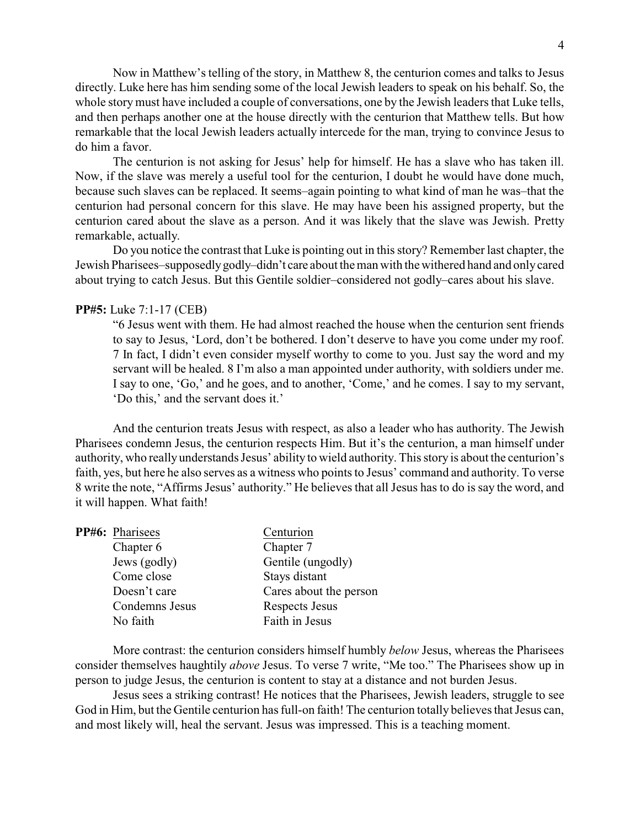Now in Matthew's telling of the story, in Matthew 8, the centurion comes and talks to Jesus directly. Luke here has him sending some of the local Jewish leaders to speak on his behalf. So, the whole storymust have included a couple of conversations, one by the Jewish leaders that Luke tells, and then perhaps another one at the house directly with the centurion that Matthew tells. But how remarkable that the local Jewish leaders actually intercede for the man, trying to convince Jesus to do him a favor.

The centurion is not asking for Jesus' help for himself. He has a slave who has taken ill. Now, if the slave was merely a useful tool for the centurion, I doubt he would have done much, because such slaves can be replaced. It seems–again pointing to what kind of man he was–that the centurion had personal concern for this slave. He may have been his assigned property, but the centurion cared about the slave as a person. And it was likely that the slave was Jewish. Pretty remarkable, actually.

Do you notice the contrast that Luke is pointing out in this story? Remember last chapter, the Jewish Pharisees–supposedlygodly–didn't care about the man with the withered hand and onlycared about trying to catch Jesus. But this Gentile soldier–considered not godly–cares about his slave.

### **PP#5:** Luke 7:1-17 (CEB)

"6 Jesus went with them. He had almost reached the house when the centurion sent friends to say to Jesus, 'Lord, don't be bothered. I don't deserve to have you come under my roof. 7 In fact, I didn't even consider myself worthy to come to you. Just say the word and my servant will be healed. 8 I'm also a man appointed under authority, with soldiers under me. I say to one, 'Go,' and he goes, and to another, 'Come,' and he comes. I say to my servant, 'Do this,' and the servant does it.'

And the centurion treats Jesus with respect, as also a leader who has authority. The Jewish Pharisees condemn Jesus, the centurion respects Him. But it's the centurion, a man himself under authority, who reallyunderstands Jesus' ability to wield authority. This story is about the centurion's faith, yes, but here he also serves as a witness who points to Jesus' command and authority. To verse 8 write the note, "Affirms Jesus' authority." He believes that all Jesus has to do is say the word, and it will happen. What faith!

| PP#6: Pharisees | Centurion              |
|-----------------|------------------------|
| Chapter 6       | Chapter 7              |
| Jews (godly)    | Gentile (ungodly)      |
| Come close      | Stays distant          |
| Doesn't care    | Cares about the person |
| Condemns Jesus  | Respects Jesus         |
| No faith        | Faith in Jesus         |
|                 |                        |

More contrast: the centurion considers himself humbly *below* Jesus, whereas the Pharisees consider themselves haughtily *above* Jesus. To verse 7 write, "Me too." The Pharisees show up in person to judge Jesus, the centurion is content to stay at a distance and not burden Jesus.

Jesus sees a striking contrast! He notices that the Pharisees, Jewish leaders, struggle to see God in Him, but the Gentile centurion has full-on faith! The centurion totally believes that Jesus can, and most likely will, heal the servant. Jesus was impressed. This is a teaching moment.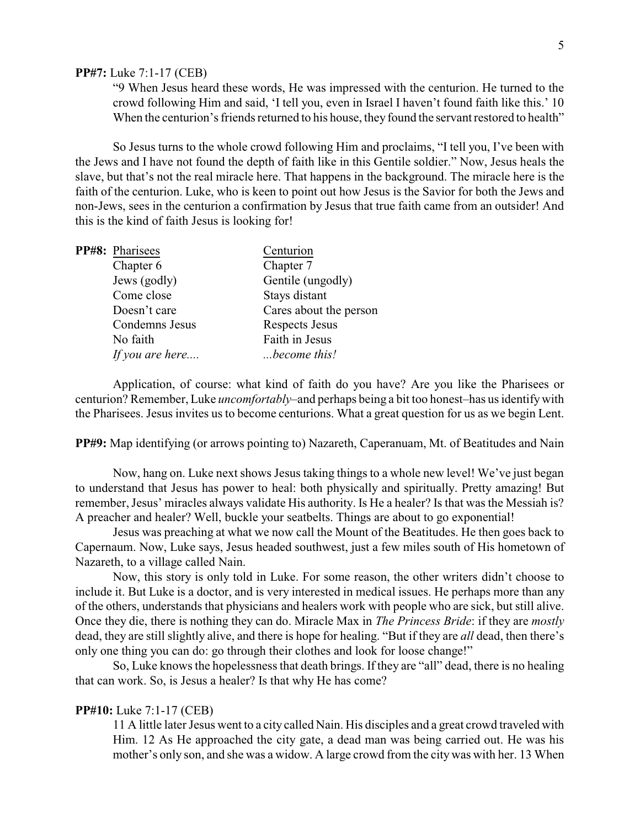#### **PP#7:** Luke 7:1-17 (CEB)

"9 When Jesus heard these words, He was impressed with the centurion. He turned to the crowd following Him and said, 'I tell you, even in Israel I haven't found faith like this.' 10 When the centurion's friends returned to his house, they found the servant restored to health"

So Jesus turns to the whole crowd following Him and proclaims, "I tell you, I've been with the Jews and I have not found the depth of faith like in this Gentile soldier." Now, Jesus heals the slave, but that's not the real miracle here. That happens in the background. The miracle here is the faith of the centurion. Luke, who is keen to point out how Jesus is the Savior for both the Jews and non-Jews, sees in the centurion a confirmation by Jesus that true faith came from an outsider! And this is the kind of faith Jesus is looking for!

| PP#8: Pharisees | Centurion              |
|-----------------|------------------------|
| Chapter 6       | Chapter 7              |
| Jews (godly)    | Gentile (ungodly)      |
| Come close      | Stays distant          |
| Doesn't care    | Cares about the person |
| Condemns Jesus  | Respects Jesus         |
| No faith        | Faith in Jesus         |
| If you are here | become this!           |
|                 |                        |

Application, of course: what kind of faith do you have? Are you like the Pharisees or centurion? Remember, Luke *uncomfortably*–and perhaps being a bit too honest–has us identifywith the Pharisees. Jesus invites us to become centurions. What a great question for us as we begin Lent.

**PP#9:** Map identifying (or arrows pointing to) Nazareth, Caperanuam, Mt. of Beatitudes and Nain

Now, hang on. Luke next shows Jesus taking things to a whole new level! We've just began to understand that Jesus has power to heal: both physically and spiritually. Pretty amazing! But remember, Jesus' miracles always validate His authority. Is He a healer? Is that was the Messiah is? A preacher and healer? Well, buckle your seatbelts. Things are about to go exponential!

Jesus was preaching at what we now call the Mount of the Beatitudes. He then goes back to Capernaum. Now, Luke says, Jesus headed southwest, just a few miles south of His hometown of Nazareth, to a village called Nain.

Now, this story is only told in Luke. For some reason, the other writers didn't choose to include it. But Luke is a doctor, and is very interested in medical issues. He perhaps more than any of the others, understands that physicians and healers work with people who are sick, but still alive. Once they die, there is nothing they can do. Miracle Max in *The Princess Bride*: if they are *mostly* dead, they are still slightly alive, and there is hope for healing. "But if they are *all* dead, then there's only one thing you can do: go through their clothes and look for loose change!"

So, Luke knows the hopelessness that death brings. If they are "all" dead, there is no healing that can work. So, is Jesus a healer? Is that why He has come?

### **PP#10:** Luke 7:1-17 (CEB)

11 A little later Jesus went to a city called Nain. His disciples and a great crowd traveled with Him. 12 As He approached the city gate, a dead man was being carried out. He was his mother's only son, and she was a widow. A large crowd from the city was with her. 13 When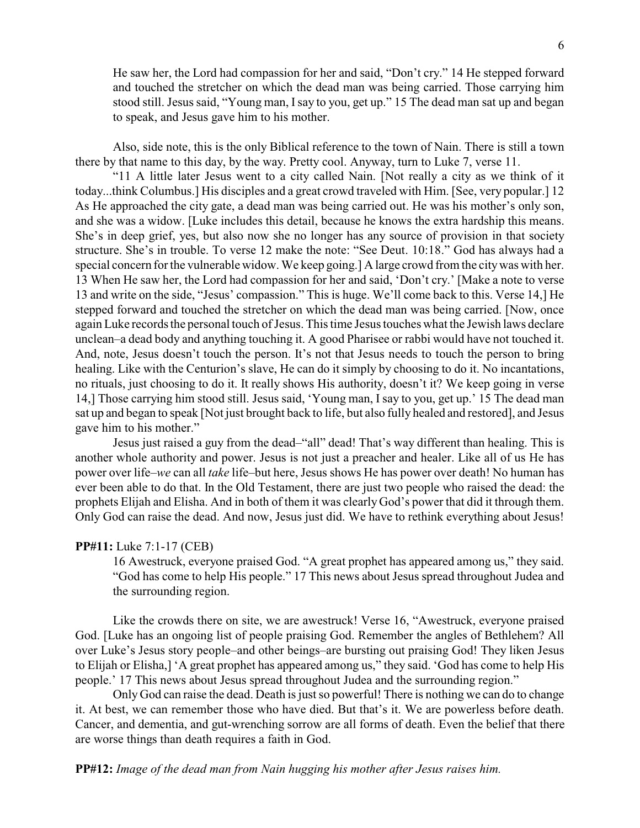He saw her, the Lord had compassion for her and said, "Don't cry." 14 He stepped forward and touched the stretcher on which the dead man was being carried. Those carrying him stood still. Jesus said, "Young man, Isay to you, get up." 15 The dead man sat up and began to speak, and Jesus gave him to his mother.

Also, side note, this is the only Biblical reference to the town of Nain. There is still a town there by that name to this day, by the way. Pretty cool. Anyway, turn to Luke 7, verse 11.

"11 A little later Jesus went to a city called Nain. [Not really a city as we think of it today...think Columbus.] His disciples and a great crowd traveled with Him. [See, very popular.] 12 As He approached the city gate, a dead man was being carried out. He was his mother's only son, and she was a widow. [Luke includes this detail, because he knows the extra hardship this means. She's in deep grief, yes, but also now she no longer has any source of provision in that society structure. She's in trouble. To verse 12 make the note: "See Deut. 10:18." God has always had a special concern for the vulnerable widow. We keep going.] A large crowd from the citywas with her. 13 When He saw her, the Lord had compassion for her and said, 'Don't cry.' [Make a note to verse 13 and write on the side, "Jesus' compassion." This is huge. We'll come back to this. Verse 14,] He stepped forward and touched the stretcher on which the dead man was being carried. [Now, once again Luke records the personal touch of Jesus. This time Jesus touches what the Jewish laws declare unclean–a dead body and anything touching it. A good Pharisee or rabbi would have not touched it. And, note, Jesus doesn't touch the person. It's not that Jesus needs to touch the person to bring healing. Like with the Centurion's slave, He can do it simply by choosing to do it. No incantations, no rituals, just choosing to do it. It really shows His authority, doesn't it? We keep going in verse 14,] Those carrying him stood still. Jesus said, 'Young man, I say to you, get up.' 15 The dead man sat up and began to speak [Not just brought back to life, but also fully healed and restored], and Jesus gave him to his mother."

Jesus just raised a guy from the dead–"all" dead! That's way different than healing. This is another whole authority and power. Jesus is not just a preacher and healer. Like all of us He has power over life–*we* can all *take* life–but here, Jesus shows He has power over death! No human has ever been able to do that. In the Old Testament, there are just two people who raised the dead: the prophets Elijah and Elisha. And in both of them it was clearlyGod's power that did it through them. Only God can raise the dead. And now, Jesus just did. We have to rethink everything about Jesus!

#### **PP#11:** Luke 7:1-17 (CEB)

16 Awestruck, everyone praised God. "A great prophet has appeared among us," they said. "God has come to help His people." 17 This news about Jesus spread throughout Judea and the surrounding region.

Like the crowds there on site, we are awestruck! Verse 16, "Awestruck, everyone praised God. [Luke has an ongoing list of people praising God. Remember the angles of Bethlehem? All over Luke's Jesus story people–and other beings–are bursting out praising God! They liken Jesus to Elijah or Elisha,] 'A great prophet has appeared among us," they said. 'God has come to help His people.' 17 This news about Jesus spread throughout Judea and the surrounding region."

Only God can raise the dead. Death is just so powerful! There is nothing we can do to change it. At best, we can remember those who have died. But that's it. We are powerless before death. Cancer, and dementia, and gut-wrenching sorrow are all forms of death. Even the belief that there are worse things than death requires a faith in God.

**PP#12:** *Image of the dead man from Nain hugging his mother after Jesus raises him.*